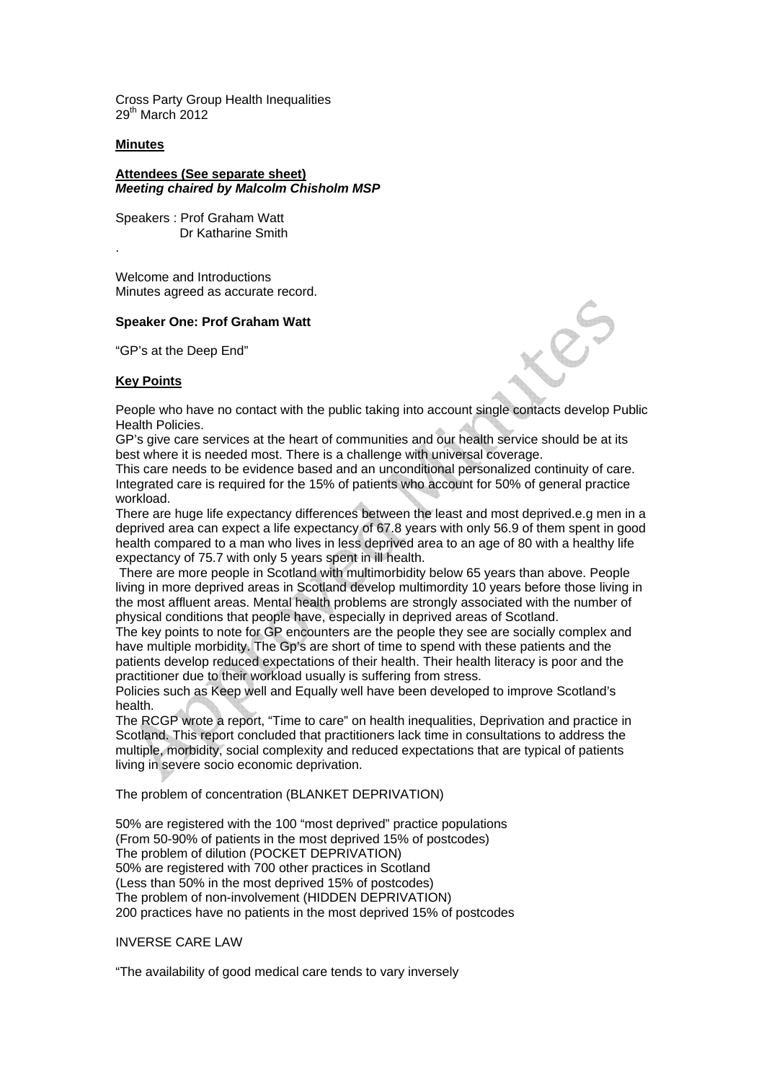Cross Party Group Health Inequalities 29<sup>th</sup> March 2012

### **Minutes**

.

**Attendees (See separate sheet)**  *Meeting chaired by Malcolm Chisholm MSP* 

Speakers : Prof Graham Watt Dr Katharine Smith

Welcome and Introductions Minutes agreed as accurate record.

#### **Speaker One: Prof Graham Watt**

"GP's at the Deep End"

## **Key Points**

People who have no contact with the public taking into account single contacts develop Public Health Policies.

GP's give care services at the heart of communities and our health service should be at its best where it is needed most. There is a challenge with universal coverage.

This care needs to be evidence based and an unconditional personalized continuity of care. Integrated care is required for the 15% of patients who account for 50% of general practice workload.

There are huge life expectancy differences between the least and most deprived.e.g men in a deprived area can expect a life expectancy of 67.8 years with only 56.9 of them spent in good health compared to a man who lives in less deprived area to an age of 80 with a healthy life expectancy of 75.7 with only 5 years spent in ill health.

 There are more people in Scotland with multimorbidity below 65 years than above. People living in more deprived areas in Scotland develop multimordity 10 years before those living in the most affluent areas. Mental health problems are strongly associated with the number of physical conditions that people have, especially in deprived areas of Scotland.

The key points to note for GP encounters are the people they see are socially complex and have multiple morbidity. The Gp's are short of time to spend with these patients and the patients develop reduced expectations of their health. Their health literacy is poor and the practitioner due to their workload usually is suffering from stress.

Policies such as Keep well and Equally well have been developed to improve Scotland's health.

The RCGP wrote a report, "Time to care" on health inequalities, Deprivation and practice in Scotland. This report concluded that practitioners lack time in consultations to address the multiple, morbidity, social complexity and reduced expectations that are typical of patients living in severe socio economic deprivation.

The problem of concentration (BLANKET DEPRIVATION)

50% are registered with the 100 "most deprived" practice populations (From 50-90% of patients in the most deprived 15% of postcodes) The problem of dilution (POCKET DEPRIVATION) 50% are registered with 700 other practices in Scotland (Less than 50% in the most deprived 15% of postcodes) The problem of non-involvement (HIDDEN DEPRIVATION) 200 practices have no patients in the most deprived 15% of postcodes

INVERSE CARE LAW

"The availability of good medical care tends to vary inversely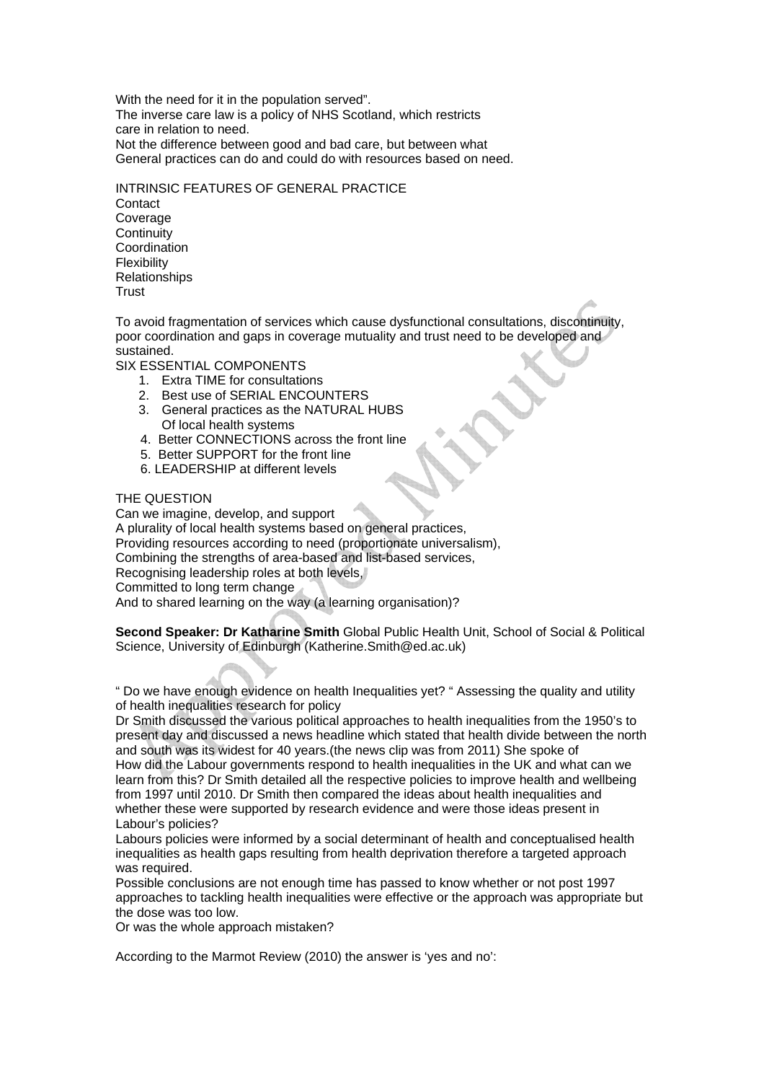With the need for it in the population served". The inverse care law is a policy of NHS Scotland, which restricts care in relation to need. Not the difference between good and bad care, but between what General practices can do and could do with resources based on need.

INTRINSIC FEATURES OF GENERAL PRACTICE **Contact** Coverage **Continuity** Coordination Flexibility Relationships

**Trust** 

To avoid fragmentation of services which cause dysfunctional consultations, discontinuity, poor coordination and gaps in coverage mutuality and trust need to be developed and sustained.

SIX ESSENTIAL COMPONENTS

- 1. Extra TIME for consultations
- 2. Best use of SERIAL ENCOUNTERS
- 3. General practices as the NATURAL HUBS Of local health systems
- 4. Better CONNECTIONS across the front line
- 5. Better SUPPORT for the front line
- 6. LEADERSHIP at different levels

# THE QUESTION

Can we imagine, develop, and support A plurality of local health systems based on general practices, Providing resources according to need (proportionate universalism), Combining the strengths of area-based and list-based services, Recognising leadership roles at both levels, Committed to long term change And to shared learning on the way (a learning organisation)?

**Second Speaker: Dr Katharine Smith** Global Public Health Unit, School of Social & Political Science, University of Edinburgh (Katherine.Smith@ed.ac.uk)

" Do we have enough evidence on health Inequalities yet? " Assessing the quality and utility of health inequalities research for policy

Dr Smith discussed the various political approaches to health inequalities from the 1950's to present day and discussed a news headline which stated that health divide between the north and south was its widest for 40 years.(the news clip was from 2011) She spoke of How did the Labour governments respond to health inequalities in the UK and what can we learn from this? Dr Smith detailed all the respective policies to improve health and wellbeing from 1997 until 2010. Dr Smith then compared the ideas about health inequalities and whether these were supported by research evidence and were those ideas present in Labour's policies?

Labours policies were informed by a social determinant of health and conceptualised health inequalities as health gaps resulting from health deprivation therefore a targeted approach was required.

Possible conclusions are not enough time has passed to know whether or not post 1997 approaches to tackling health inequalities were effective or the approach was appropriate but the dose was too low.

Or was the whole approach mistaken?

According to the Marmot Review (2010) the answer is 'yes and no':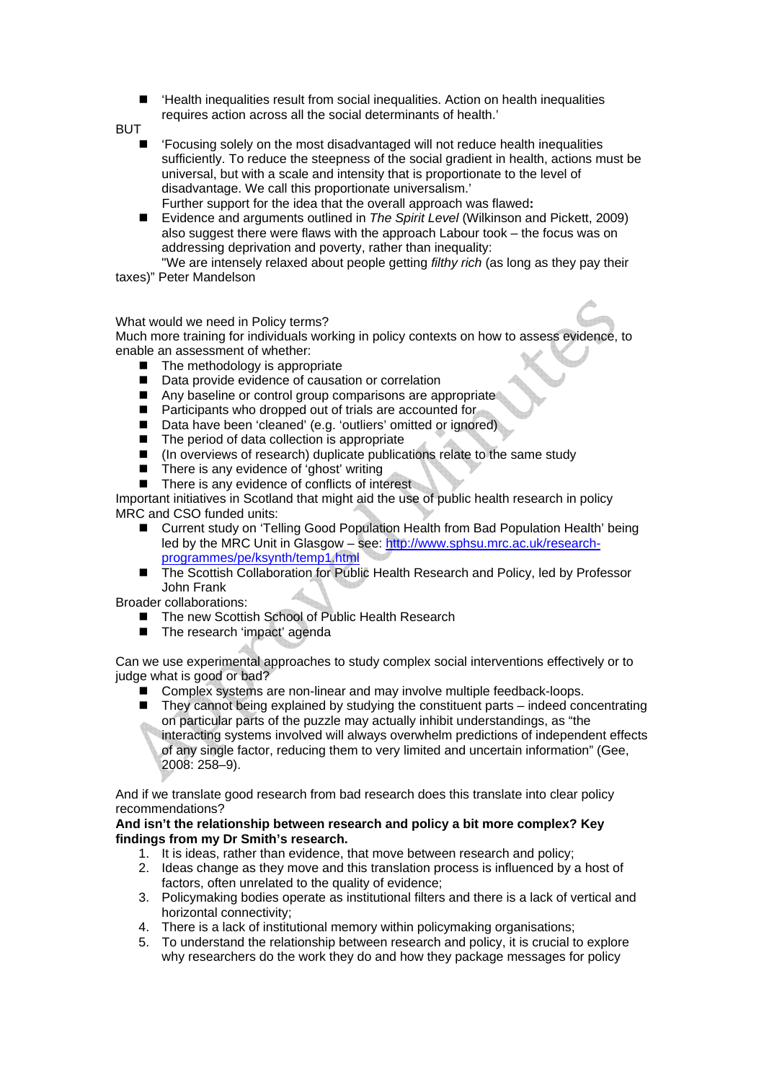■ Health inequalities result from social inequalities. Action on health inequalities requires action across all the social determinants of health.'

BUT

- 'Focusing solely on the most disadvantaged will not reduce health inequalities sufficiently. To reduce the steepness of the social gradient in health, actions must be universal, but with a scale and intensity that is proportionate to the level of disadvantage. We call this proportionate universalism.' Further support for the idea that the overall approach was flawed**:**
- Evidence and arguments outlined in *The Spirit Level* (Wilkinson and Pickett, 2009) also suggest there were flaws with the approach Labour took – the focus was on addressing deprivation and poverty, rather than inequality:

 "We are intensely relaxed about people getting *filthy rich* (as long as they pay their taxes)" Peter Mandelson

## What would we need in Policy terms?

Much more training for individuals working in policy contexts on how to assess evidence, to enable an assessment of whether:

- The methodology is appropriate
- Data provide evidence of causation or correlation
- Any baseline or control group comparisons are appropriate
- Participants who dropped out of trials are accounted for
- Data have been 'cleaned' (e.g. 'outliers' omitted or ignored)
- The period of data collection is appropriate
- (In overviews of research) duplicate publications relate to the same study
- $\blacksquare$  There is any evidence of 'ghost' writing<br> $\blacksquare$  There is any evidence of conflicts of inter-
- There is any evidence of conflicts of interest

Important initiatives in Scotland that might aid the use of public health research in policy MRC and CSO funded units:

- Current study on 'Telling Good Population Health from Bad Population Health' being led by the MRC Unit in Glasgow – see: http://www.sphsu.mrc.ac.uk/researchprogrammes/pe/ksynth/temp1.html
- The Scottish Collaboration for Public Health Research and Policy, led by Professor John Frank

Broader collaborations:

- The new Scottish School of Public Health Research
- The research 'impact' agenda

Can we use experimental approaches to study complex social interventions effectively or to judge what is good or bad?

- Complex systems are non-linear and may involve multiple feedback-loops.
- $\blacksquare$  They cannot being explained by studying the constituent parts indeed concentrating on particular parts of the puzzle may actually inhibit understandings, as "the interacting systems involved will always overwhelm predictions of independent effects of any single factor, reducing them to very limited and uncertain information" (Gee, 2008: 258–9).

And if we translate good research from bad research does this translate into clear policy recommendations?

## **And isn't the relationship between research and policy a bit more complex? Key findings from my Dr Smith's research.**

- 1. It is ideas, rather than evidence, that move between research and policy;
- 2. Ideas change as they move and this translation process is influenced by a host of factors, often unrelated to the quality of evidence;
- 3. Policymaking bodies operate as institutional filters and there is a lack of vertical and horizontal connectivity;
- 4. There is a lack of institutional memory within policymaking organisations;
- 5. To understand the relationship between research and policy, it is crucial to explore why researchers do the work they do and how they package messages for policy